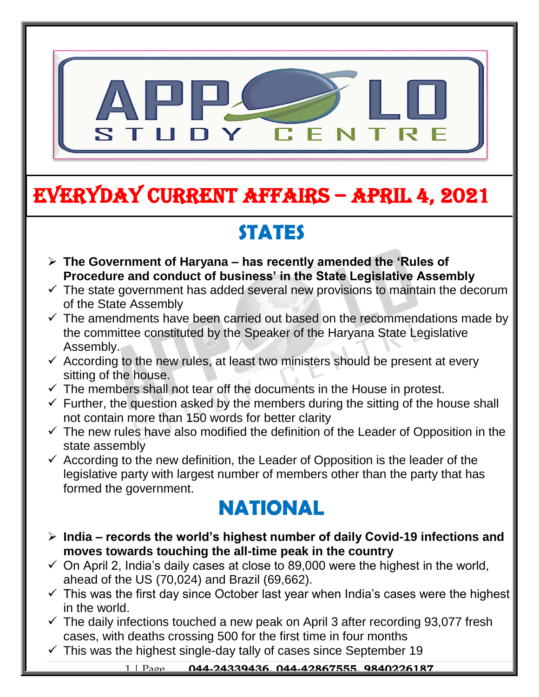

# EVERYDAY CURRENT AFFAIRS – APRIL 4, 2021

-

## **STATES**

- **The Government of Haryana – has recently amended the 'Rules of Procedure and conduct of business' in the State Legislative Assembly**  $\overline{\phantom{a}}$
- $\checkmark$  The state government has added several new provisions to maintain the decorum of the State Assembly
- $\checkmark$  The amendments have been carried out based on the recommendations made by the committee constituted by the Speaker of the Haryana State Legislative Assembly.
- $\checkmark$  According to the new rules, at least two ministers should be present at every sitting of the house.
- $\checkmark$  The members shall not tear off the documents in the House in protest.
- $\checkmark$  Further, the question asked by the members during the sitting of the house shall not contain more than 150 words for better clarity
- $\checkmark$  The new rules have also modified the definition of the Leader of Opposition in the state assembly
- $\checkmark$  According to the new definition, the Leader of Opposition is the leader of the legislative party with largest number of members other than the party that has formed the government.

### **NATIONAL**

- **India – records the world's highest number of daily Covid-19 infections and moves towards touching the all-time peak in the country**
- $\checkmark$  On April 2, India's daily cases at close to 89,000 were the highest in the world, ahead of the US (70,024) and Brazil (69,662).
- $\checkmark$  This was the first day since October last year when India's cases were the highest in the world.
- $\checkmark$  The daily infections touched a new peak on April 3 after recording 93,077 fresh cases, with deaths crossing 500 for the first time in four months
- $\checkmark$  This was the highest single-day tally of cases since September 19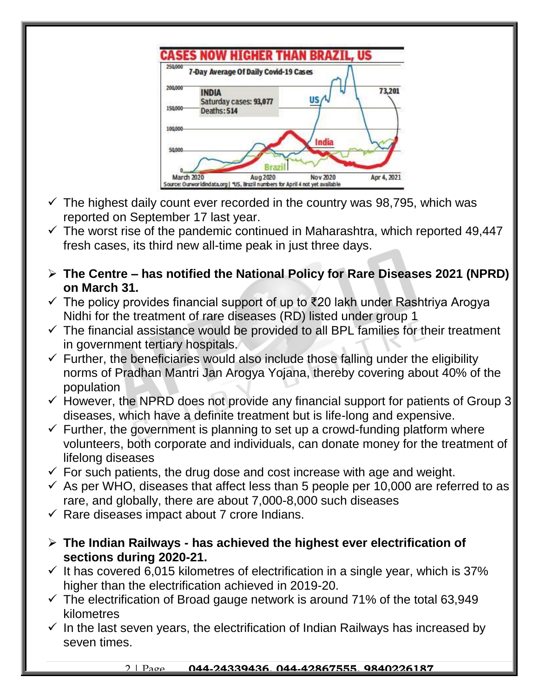

- $\checkmark$  The highest daily count ever recorded in the country was 98,795, which was reported on September 17 last year.
- $\checkmark$  The worst rise of the pandemic continued in Maharashtra, which reported 49,447 fresh cases, its third new all-time peak in just three days.
- **The Centre – has notified the National Policy for Rare Diseases 2021 (NPRD) on March 31.**
- The policy provides financial support of up to ₹20 lakh under Rashtriya Arogya Nidhi for the treatment of rare diseases (RD) listed under group 1
- $\checkmark$  The financial assistance would be provided to all BPL families for their treatment in government tertiary hospitals.
- $\checkmark$  Further, the beneficiaries would also include those falling under the eligibility norms of Pradhan Mantri Jan Arogya Yojana, thereby covering about 40% of the population
- $\checkmark$  However, the NPRD does not provide any financial support for patients of Group 3 diseases, which have a definite treatment but is life-long and expensive.
- $\checkmark$  Further, the government is planning to set up a crowd-funding platform where volunteers, both corporate and individuals, can donate money for the treatment of lifelong diseases
- $\checkmark$  For such patients, the drug dose and cost increase with age and weight.
- $\checkmark$  As per WHO, diseases that affect less than 5 people per 10,000 are referred to as rare, and globally, there are about 7,000-8,000 such diseases
- $\checkmark$  Rare diseases impact about 7 crore Indians.
- **The Indian Railways - has achieved the highest ever electrification of sections during 2020-21.**
- $\checkmark$  It has covered 6,015 kilometres of electrification in a single year, which is 37% higher than the electrification achieved in 2019-20.
- $\checkmark$  The electrification of Broad gauge network is around 71% of the total 63,949 kilometres
- $\checkmark$  In the last seven years, the electrification of Indian Railways has increased by seven times.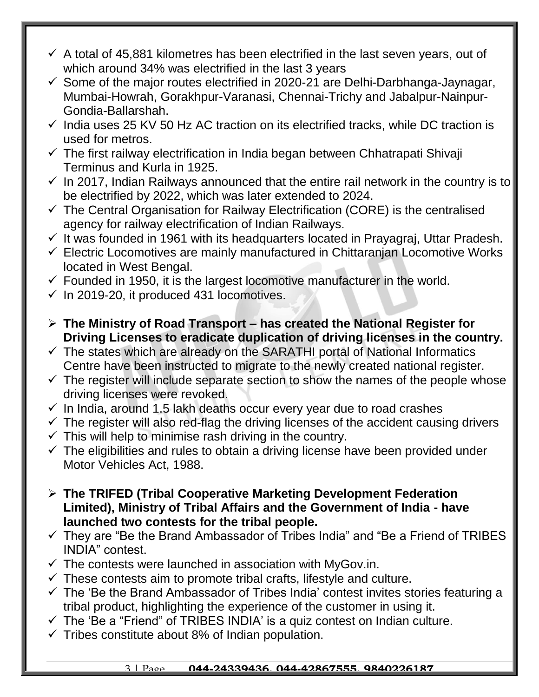- $\checkmark$  A total of 45,881 kilometres has been electrified in the last seven years, out of which around 34% was electrified in the last 3 years
- $\checkmark$  Some of the major routes electrified in 2020-21 are Delhi-Darbhanga-Jaynagar, Mumbai-Howrah, Gorakhpur-Varanasi, Chennai-Trichy and Jabalpur-Nainpur-Gondia-Ballarshah.
- $\checkmark$  India uses 25 KV 50 Hz AC traction on its electrified tracks, while DC traction is used for metros.
- $\checkmark$  The first railway electrification in India began between Chhatrapati Shivaji Terminus and Kurla in 1925.
- $\checkmark$  In 2017, Indian Railways announced that the entire rail network in the country is to be electrified by 2022, which was later extended to 2024.
- $\checkmark$  The Central Organisation for Railway Electrification (CORE) is the centralised agency for railway electrification of Indian Railways.
- $\checkmark$  It was founded in 1961 with its headquarters located in Prayagraj, Uttar Pradesh.
- $\checkmark$  Electric Locomotives are mainly manufactured in Chittaranian Locomotive Works located in West Bengal.
- $\checkmark$  Founded in 1950, it is the largest locomotive manufacturer in the world.
- $\checkmark$  In 2019-20, it produced 431 locomotives.
- **The Ministry of Road Transport – has created the National Register for Driving Licenses to eradicate duplication of driving licenses in the country.**
- $\checkmark$  The states which are already on the SARATHI portal of National Informatics Centre have been instructed to migrate to the newly created national register.
- $\checkmark$  The register will include separate section to show the names of the people whose driving licenses were revoked.
- $\checkmark$  In India, around 1.5 lakh deaths occur every year due to road crashes
- $\checkmark$  The register will also red-flag the driving licenses of the accident causing drivers
- $\checkmark$  This will help to minimise rash driving in the country.
- $\checkmark$  The eligibilities and rules to obtain a driving license have been provided under Motor Vehicles Act, 1988.
- **The TRIFED (Tribal Cooperative Marketing Development Federation Limited), Ministry of Tribal Affairs and the Government of India - have launched two contests for the tribal people.**
- $\checkmark$  They are "Be the Brand Ambassador of Tribes India" and "Be a Friend of TRIBES INDIA" contest.
- $\checkmark$  The contests were launched in association with MyGov.in.
- $\checkmark$  These contests aim to promote tribal crafts, lifestyle and culture.
- $\checkmark$  The 'Be the Brand Ambassador of Tribes India' contest invites stories featuring a tribal product, highlighting the experience of the customer in using it.
- $\checkmark$  The 'Be a "Friend" of TRIBES INDIA' is a quiz contest on Indian culture.
- $\checkmark$  Tribes constitute about 8% of Indian population.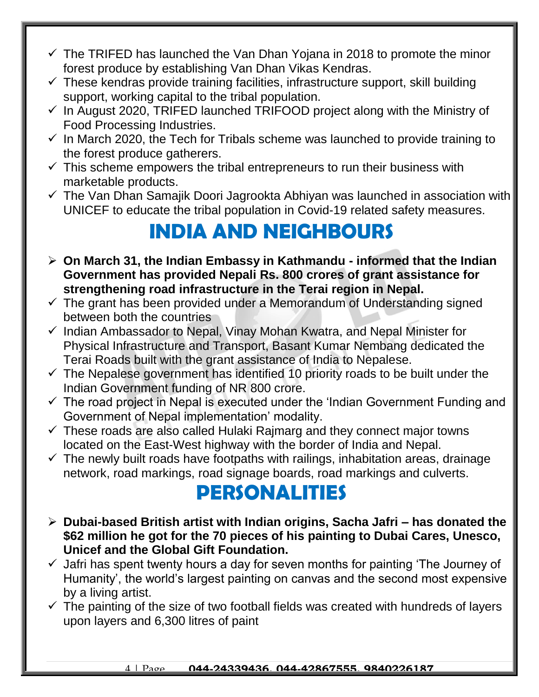- $\checkmark$  The TRIFED has launched the Van Dhan Yojana in 2018 to promote the minor forest produce by establishing Van Dhan Vikas Kendras.
- $\checkmark$  These kendras provide training facilities, infrastructure support, skill building support, working capital to the tribal population.
- $\checkmark$  In August 2020, TRIFED launched TRIFOOD project along with the Ministry of Food Processing Industries.
- $\checkmark$  In March 2020, the Tech for Tribals scheme was launched to provide training to the forest produce gatherers.
- $\checkmark$  This scheme empowers the tribal entrepreneurs to run their business with marketable products.
- $\checkmark$  The Van Dhan Samajik Doori Jagrookta Abhiyan was launched in association with UNICEF to educate the tribal population in Covid-19 related safety measures.

## **INDIA AND NEIGHBOURS**

- **On March 31, the Indian Embassy in Kathmandu - informed that the Indian Government has provided Nepali Rs. 800 crores of grant assistance for strengthening road infrastructure in the Terai region in Nepal.**
- $\checkmark$  The grant has been provided under a Memorandum of Understanding signed between both the countries
- $\checkmark$  Indian Ambassador to Nepal, Vinay Mohan Kwatra, and Nepal Minister for Physical Infrastructure and Transport, Basant Kumar Nembang dedicated the Terai Roads built with the grant assistance of India to Nepalese.
- $\checkmark$  The Nepalese government has identified 10 priority roads to be built under the Indian Government funding of NR 800 crore.
- $\checkmark$  The road project in Nepal is executed under the 'Indian Government Funding and Government of Nepal implementation' modality.
- $\checkmark$  These roads are also called Hulaki Rajmarg and they connect major towns located on the East-West highway with the border of India and Nepal.
- $\checkmark$  The newly built roads have footpaths with railings, inhabitation areas, drainage network, road markings, road signage boards, road markings and culverts.

### **PERSONALITIES**

- **Dubai-based British artist with Indian origins, Sacha Jafri – has donated the \$62 million he got for the 70 pieces of his painting to Dubai Cares, Unesco, Unicef and the Global Gift Foundation.**
- $\checkmark$  Jafri has spent twenty hours a day for seven months for painting 'The Journey of Humanity', the world's largest painting on canvas and the second most expensive by a living artist.
- $\checkmark$  The painting of the size of two football fields was created with hundreds of layers upon layers and 6,300 litres of paint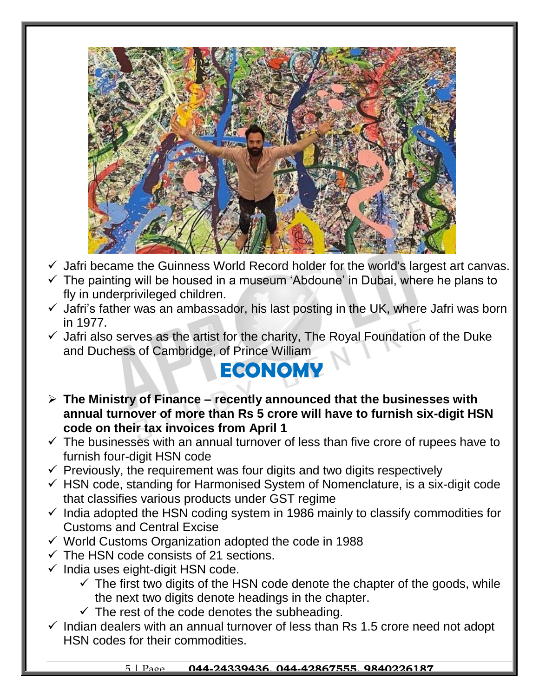

- $\checkmark$  Jafri became the Guinness World Record holder for the world's largest art canvas.
- $\checkmark$  The painting will be housed in a museum 'Abdoune' in Dubai, where he plans to fly in underprivileged children.
- $\checkmark$  Jafri's father was an ambassador, his last posting in the UK, where Jafri was born in 1977.
- $\checkmark$  Jafri also serves as the artist for the charity, The Royal Foundation of the Duke and Duchess of Cambridge, of Prince William

## **ECONOMY**

- **The Ministry of Finance – recently announced that the businesses with annual turnover of more than Rs 5 crore will have to furnish six-digit HSN code on their tax invoices from April 1**
- $\checkmark$  The businesses with an annual turnover of less than five crore of rupees have to furnish four-digit HSN code
- $\checkmark$  Previously, the requirement was four digits and two digits respectively
- $\checkmark$  HSN code, standing for Harmonised System of Nomenclature, is a six-digit code that classifies various products under GST regime
- $\checkmark$  India adopted the HSN coding system in 1986 mainly to classify commodities for Customs and Central Excise
- $\checkmark$  World Customs Organization adopted the code in 1988
- $\checkmark$  The HSN code consists of 21 sections.
- $\checkmark$  India uses eight-digit HSN code.
	- $\checkmark$  The first two digits of the HSN code denote the chapter of the goods, while the next two digits denote headings in the chapter.
	- $\checkmark$  The rest of the code denotes the subheading.
- $\checkmark$  Indian dealers with an annual turnover of less than Rs 1.5 crore need not adopt HSN codes for their commodities.